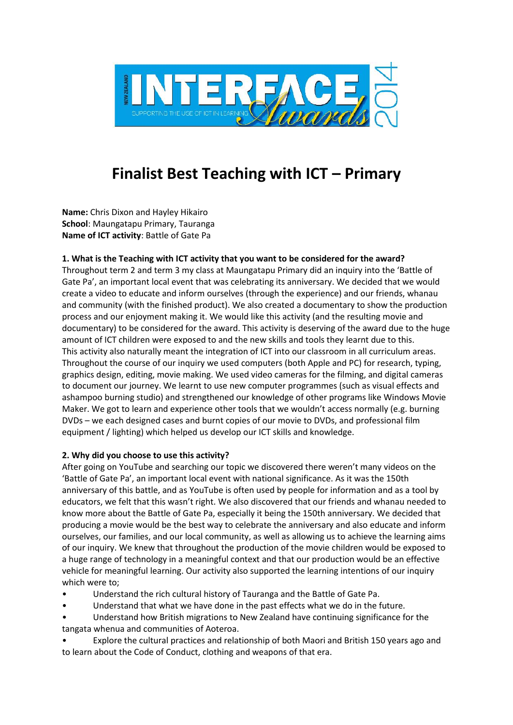

# **Finalist Best Teaching with ICT – Primary**

**Name:** Chris Dixon and Hayley Hikairo **School**: Maungatapu Primary, Tauranga **Name of ICT activity**: Battle of Gate Pa

### **1. What is the Teaching with ICT activity that you want to be considered for the award?**

Throughout term 2 and term 3 my class at Maungatapu Primary did an inquiry into the 'Battle of Gate Pa', an important local event that was celebrating its anniversary. We decided that we would create a video to educate and inform ourselves (through the experience) and our friends, whanau and community (with the finished product). We also created a documentary to show the production process and our enjoyment making it. We would like this activity (and the resulting movie and documentary) to be considered for the award. This activity is deserving of the award due to the huge amount of ICT children were exposed to and the new skills and tools they learnt due to this. This activity also naturally meant the integration of ICT into our classroom in all curriculum areas. Throughout the course of our inquiry we used computers (both Apple and PC) for research, typing, graphics design, editing, movie making. We used video cameras for the filming, and digital cameras to document our journey. We learnt to use new computer programmes (such as visual effects and ashampoo burning studio) and strengthened our knowledge of other programs like Windows Movie Maker. We got to learn and experience other tools that we wouldn't access normally (e.g. burning DVDs – we each designed cases and burnt copies of our movie to DVDs, and professional film equipment / lighting) which helped us develop our ICT skills and knowledge.

### **2. Why did you choose to use this activity?**

After going on YouTube and searching our topic we discovered there weren't many videos on the 'Battle of Gate Pa', an important local event with national significance. As it was the 150th anniversary of this battle, and as YouTube is often used by people for information and as a tool by educators, we felt that this wasn't right. We also discovered that our friends and whanau needed to know more about the Battle of Gate Pa, especially it being the 150th anniversary. We decided that producing a movie would be the best way to celebrate the anniversary and also educate and inform ourselves, our families, and our local community, as well as allowing us to achieve the learning aims of our inquiry. We knew that throughout the production of the movie children would be exposed to a huge range of technology in a meaningful context and that our production would be an effective vehicle for meaningful learning. Our activity also supported the learning intentions of our inquiry which were to;

- Understand the rich cultural history of Tauranga and the Battle of Gate Pa.
- Understand that what we have done in the past effects what we do in the future.
- Understand how British migrations to New Zealand have continuing significance for the tangata whenua and communities of Aoteroa.
- Explore the cultural practices and relationship of both Maori and British 150 years ago and to learn about the Code of Conduct, clothing and weapons of that era.